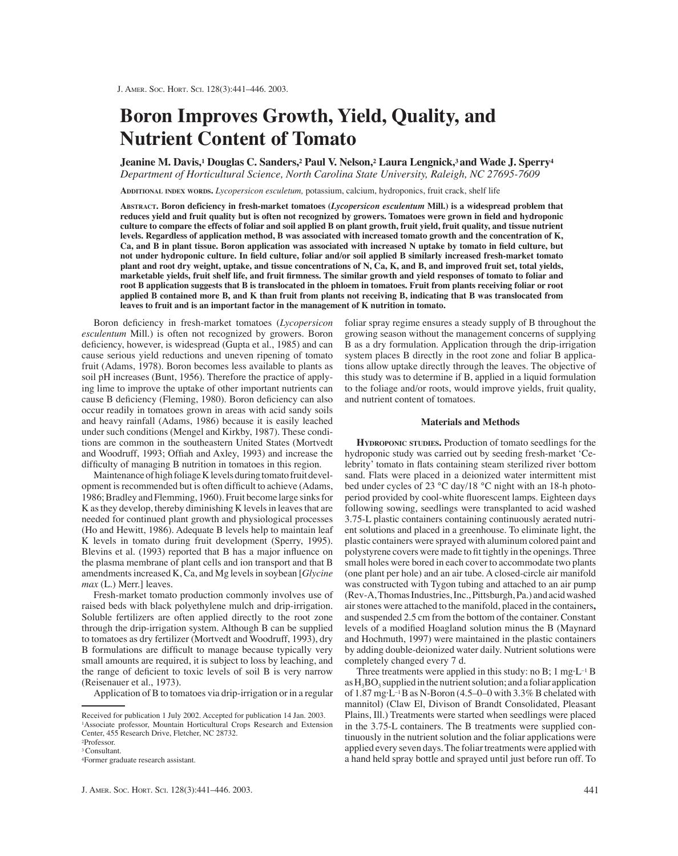# **Boron Improves Growth, Yield, Quality, and Nutrient Content of Tomato**

**Jeanine M. Davis,1 Douglas C. Sanders,2 Paul V. Nelson,2 Laura Lengnick,3 and Wade J. Sperry4** *Department of Horticultural Science, North Carolina State University, Raleigh, NC 27695-7609*

**ADDITIONAL INDEX WORDS.** *Lycopersicon esculetum,* potassium, calcium, hydroponics, fruit crack, shelf life

**ABSTRACT. Boron deficiency in fresh-market tomatoes (***Lycopersicon esculentum* **Mill.) is a widespread problem that reduces yield and fruit quality but is often not recognized by growers. Tomatoes were grown in field and hydroponic culture to compare the effects of foliar and soil applied B on plant growth, fruit yield, fruit quality, and tissue nutrient levels. Regardless of application method, B was associated with increased tomato growth and the concentration of K, Ca, and B in plant tissue. Boron application was associated with increased N uptake by tomato in field culture, but not under hydroponic culture. In field culture, foliar and/or soil applied B similarly increased fresh-market tomato plant and root dry weight, uptake, and tissue concentrations of N, Ca, K, and B, and improved fruit set, total yields, marketable yields, fruit shelf life, and fruit firmness. The similar growth and yield responses of tomato to foliar and root B application suggests that B is translocated in the phloem in tomatoes. Fruit from plants receiving foliar or root applied B contained more B, and K than fruit from plants not receiving B, indicating that B was translocated from leaves to fruit and is an important factor in the management of K nutrition in tomato.**

Boron deficiency in fresh-market tomatoes (*Lycopersicon esculentum* Mill.) is often not recognized by growers. Boron deficiency, however, is widespread (Gupta et al., 1985) and can cause serious yield reductions and uneven ripening of tomato fruit (Adams, 1978). Boron becomes less available to plants as soil pH increases (Bunt, 1956). Therefore the practice of applying lime to improve the uptake of other important nutrients can cause B deficiency (Fleming, 1980). Boron deficiency can also occur readily in tomatoes grown in areas with acid sandy soils and heavy rainfall (Adams, 1986) because it is easily leached under such conditions (Mengel and Kirkby, 1987). These conditions are common in the southeastern United States (Mortvedt and Woodruff, 1993; Offiah and Axley, 1993) and increase the difficulty of managing B nutrition in tomatoes in this region.

Maintenance of high foliage K levels during tomato fruit development is recommended but is often difficult to achieve (Adams, 1986; Bradley and Flemming, 1960). Fruit become large sinks for K as they develop, thereby diminishing K levels in leaves that are needed for continued plant growth and physiological processes (Ho and Hewitt, 1986). Adequate B levels help to maintain leaf K levels in tomato during fruit development (Sperry, 1995). Blevins et al. (1993) reported that B has a major influence on the plasma membrane of plant cells and ion transport and that B amendments increased K, Ca, and Mg levels in soybean [*Glycine max* (L.) Merr.] leaves.

Fresh-market tomato production commonly involves use of raised beds with black polyethylene mulch and drip-irrigation. Soluble fertilizers are often applied directly to the root zone through the drip-irrigation system. Although B can be supplied to tomatoes as dry fertilizer (Mortvedt and Woodruff, 1993), dry B formulations are difficult to manage because typically very small amounts are required, it is subject to loss by leaching, and the range of deficient to toxic levels of soil B is very narrow (Reisenauer et al., 1973).

Application of B to tomatoes via drip-irrigation or in a regular

foliar spray regime ensures a steady supply of B throughout the growing season without the management concerns of supplying B as a dry formulation. Application through the drip-irrigation system places B directly in the root zone and foliar B applications allow uptake directly through the leaves. The objective of this study was to determine if B, applied in a liquid formulation to the foliage and/or roots, would improve yields, fruit quality, and nutrient content of tomatoes.

#### **Materials and Methods**

**HYDROPONIC STUDIES.** Production of tomato seedlings for the hydroponic study was carried out by seeding fresh-market 'Celebrity' tomato in flats containing steam sterilized river bottom sand. Flats were placed in a deionized water intermittent mist bed under cycles of 23 °C day/18 °C night with an 18-h photoperiod provided by cool-white fluorescent lamps. Eighteen days following sowing, seedlings were transplanted to acid washed 3.75-L plastic containers containing continuously aerated nutrient solutions and placed in a greenhouse. To eliminate light, the plastic containers were sprayed with aluminum colored paint and polystyrene covers were made to fit tightly in the openings. Three small holes were bored in each cover to accommodate two plants (one plant per hole) and an air tube. A closed-circle air manifold was constructed with Tygon tubing and attached to an air pump (Rev-A, Thomas Industries, Inc., Pittsburgh, Pa.) and acid washed air stones were attached to the manifold, placed in the containers**,** and suspended 2.5 cm from the bottom of the container. Constant levels of a modified Hoagland solution minus the B (Maynard and Hochmuth, 1997) were maintained in the plastic containers by adding double-deionized water daily. Nutrient solutions were completely changed every 7 d.

Three treatments were applied in this study: no B;  $1 \text{ mg·}L^{-1}B$ as  $H_3BO_3$  supplied in the nutrient solution; and a foliar application of 1.87 mg·L–1 B as N-Boron (4.5–0–0 with 3.3% B chelated with mannitol) (Claw El, Divison of Brandt Consolidated, Pleasant Plains, Ill.) Treatments were started when seedlings were placed in the 3.75-L containers. The B treatments were supplied continuously in the nutrient solution and the foliar applications were applied every seven days. The foliar treatments were applied with a hand held spray bottle and sprayed until just before run off. To

Received for publication 1 July 2002. Accepted for publication 14 Jan. 2003. 1Associate professor, Mountain Horticultural Crops Research and Extension Center, 455 Research Drive, Fletcher, NC 28732.

<sup>2</sup>Professor.

<sup>3</sup> Consultant.

<sup>4</sup>Former graduate research assistant.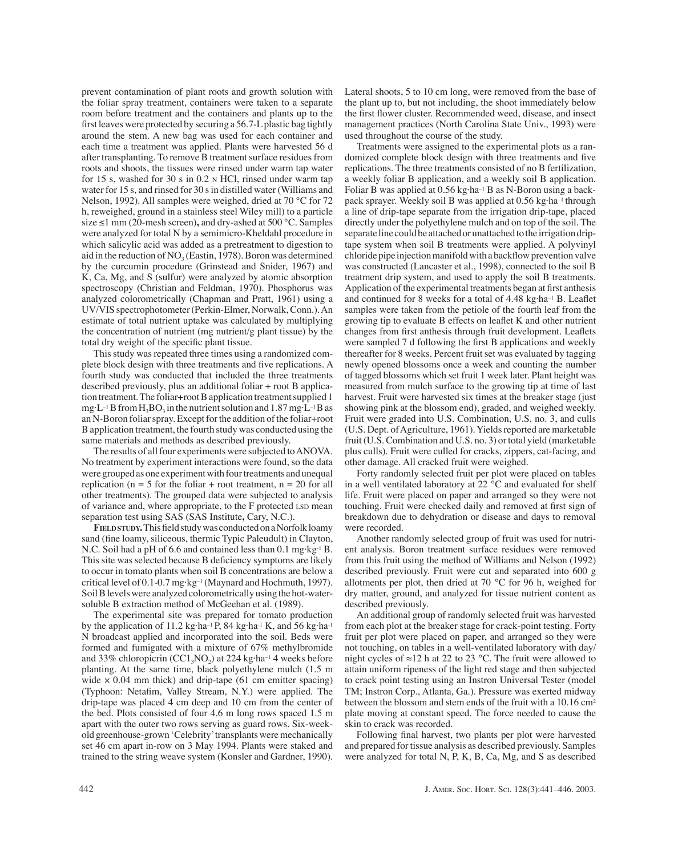prevent contamination of plant roots and growth solution with the foliar spray treatment, containers were taken to a separate room before treatment and the containers and plants up to the first leaves were protected by securing a 56.7-L plastic bag tightly around the stem. A new bag was used for each container and each time a treatment was applied. Plants were harvested 56 d after transplanting. To remove B treatment surface residues from roots and shoots, the tissues were rinsed under warm tap water for 15 s, washed for 30 s in 0.2 N HCl, rinsed under warm tap water for 15 s, and rinsed for 30 s in distilled water (Williams and Nelson, 1992). All samples were weighed, dried at 70 °C for 72 h, reweighed, ground in a stainless steel Wiley mill) to a particle size ≤1 mm (20-mesh screen)**,** and dry-ashed at 500 °C. Samples were analyzed for total N by a semimicro-Kheldahl procedure in which salicylic acid was added as a pretreatment to digestion to aid in the reduction of  $NO<sub>3</sub>$  (Eastin, 1978). Boron was determined by the curcumin procedure (Grinstead and Snider, 1967) and K, Ca, Mg, and S (sulfur) were analyzed by atomic absorption spectroscopy (Christian and Feldman, 1970). Phosphorus was analyzed colorometrically (Chapman and Pratt, 1961) using a UV/VIS spectrophotometer (Perkin-Elmer, Norwalk, Conn.). An estimate of total nutrient uptake was calculated by multiplying the concentration of nutrient (mg nutrient/g plant tissue) by the total dry weight of the specific plant tissue.

This study was repeated three times using a randomized complete block design with three treatments and five replications. A fourth study was conducted that included the three treatments described previously, plus an additional foliar + root B application treatment. The foliar+root B application treatment supplied 1 mg·L<sup>-1</sup> B from  $H_3BO_3$  in the nutrient solution and 1.87 mg·L<sup>-1</sup> B as an N-Boron foliar spray. Except for the addition of the foliar+root B application treatment, the fourth study was conducted using the same materials and methods as described previously.

The results of all four experiments were subjected to ANOVA. No treatment by experiment interactions were found, so the data were grouped as one experiment with four treatments and unequal replication ( $n = 5$  for the foliar + root treatment,  $n = 20$  for all other treatments). The grouped data were subjected to analysis of variance and, where appropriate, to the F protected LSD mean separation test using SAS (SAS Institute**,** Cary, N.C.).

**FIELD STUDY.** This field study was conducted on a Norfolk loamy sand (fine loamy, siliceous, thermic Typic Paleudult) in Clayton, N.C. Soil had a pH of 6.6 and contained less than 0.1 mg·kg-1 B. This site was selected because B deficiency symptoms are likely to occur in tomato plants when soil B concentrations are below a critical level of 0.1-0.7 mg·kg–1 (Maynard and Hochmuth, 1997). Soil B levels were analyzed colorometrically using the hot-watersoluble B extraction method of McGeehan et al. (1989).

The experimental site was prepared for tomato production by the application of 11.2 kg·ha<sup>-1</sup> P, 84 kg·ha<sup>-1</sup> K, and 56 kg·ha<sup>-1</sup> N broadcast applied and incorporated into the soil. Beds were formed and fumigated with a mixture of 67% methylbromide and 33% chloropicrin (CC1<sub>3</sub>NO<sub>2</sub>) at 224 kg·ha<sup>-1</sup> 4 weeks before planting. At the same time, black polyethylene mulch (1.5 m wide  $\times$  0.04 mm thick) and drip-tape (61 cm emitter spacing) (Typhoon: Netafim, Valley Stream, N.Y.) were applied. The drip-tape was placed 4 cm deep and 10 cm from the center of the bed. Plots consisted of four 4.6 m long rows spaced 1.5 m apart with the outer two rows serving as guard rows. Six-weekold greenhouse-grown 'Celebrity'transplants were mechanically set 46 cm apart in-row on 3 May 1994. Plants were staked and trained to the string weave system (Konsler and Gardner, 1990).

Lateral shoots, 5 to 10 cm long, were removed from the base of the plant up to, but not including, the shoot immediately below the first flower cluster. Recommended weed, disease, and insect management practices (North Carolina State Univ., 1993) were used throughout the course of the study.

Treatments were assigned to the experimental plots as a randomized complete block design with three treatments and five replications. The three treatments consisted of no B fertilization, a weekly foliar B application, and a weekly soil B application. Foliar B was applied at 0.56 kg·ha–1 B as N-Boron using a backpack sprayer. Weekly soil B was applied at 0.56 kg·ha–1 through a line of drip-tape separate from the irrigation drip-tape, placed directly under the polyethylene mulch and on top of the soil. The separate line could be attached or unattached to the irrigation driptape system when soil B treatments were applied. A polyvinyl chloride pipe injection manifold with a backflow prevention valve was constructed (Lancaster et al., 1998), connected to the soil B treatment drip system, and used to apply the soil B treatments. Application of the experimental treatments began at first anthesis and continued for 8 weeks for a total of  $4.48 \text{ kg} \cdot \text{ha}^{-1}$  B. Leaflet samples were taken from the petiole of the fourth leaf from the growing tip to evaluate B effects on leaflet K and other nutrient changes from first anthesis through fruit development. Leaflets were sampled 7 d following the first B applications and weekly thereafter for 8 weeks. Percent fruit set was evaluated by tagging newly opened blossoms once a week and counting the number of tagged blossoms which set fruit 1 week later. Plant height was measured from mulch surface to the growing tip at time of last harvest. Fruit were harvested six times at the breaker stage (just showing pink at the blossom end), graded, and weighed weekly. Fruit were graded into U.S. Combination, U.S. no. 3, and culls (U.S. Dept. of Agriculture, 1961). Yields reported are marketable fruit (U.S. Combination and U.S. no. 3) or total yield (marketable plus culls). Fruit were culled for cracks, zippers, cat-facing, and other damage. All cracked fruit were weighed.

Forty randomly selected fruit per plot were placed on tables in a well ventilated laboratory at  $22 \degree C$  and evaluated for shelf life. Fruit were placed on paper and arranged so they were not touching. Fruit were checked daily and removed at first sign of breakdown due to dehydration or disease and days to removal were recorded.

Another randomly selected group of fruit was used for nutrient analysis. Boron treatment surface residues were removed from this fruit using the method of Williams and Nelson (1992) described previously. Fruit were cut and separated into 600 g allotments per plot, then dried at 70 °C for 96 h, weighed for dry matter, ground, and analyzed for tissue nutrient content as described previously.

An additional group of randomly selected fruit was harvested from each plot at the breaker stage for crack-point testing. Forty fruit per plot were placed on paper, and arranged so they were not touching, on tables in a well-ventilated laboratory with day/ night cycles of  $\approx$ 12 h at 22 to 23 °C. The fruit were allowed to attain uniform ripeness of the light red stage and then subjected to crack point testing using an Instron Universal Tester (model TM; Instron Corp., Atlanta, Ga.). Pressure was exerted midway between the blossom and stem ends of the fruit with a 10.16 cm<sup>2</sup> plate moving at constant speed. The force needed to cause the skin to crack was recorded.

Following final harvest, two plants per plot were harvested and prepared for tissue analysis as described previously. Samples were analyzed for total N, P, K, B, Ca, Mg, and S as described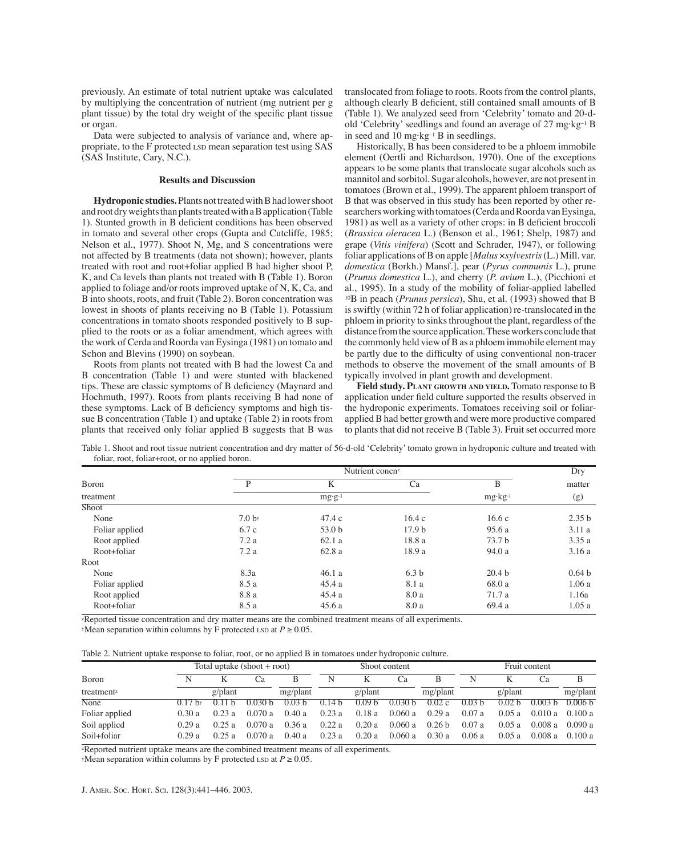previously. An estimate of total nutrient uptake was calculated by multiplying the concentration of nutrient (mg nutrient per g plant tissue) by the total dry weight of the specific plant tissue or organ.

Data were subjected to analysis of variance and, where appropriate, to the F protected LSD mean separation test using SAS (SAS Institute, Cary, N.C.).

# **Results and Discussion**

**Hydroponic studies.**Plants not treated with B had lower shoot and root dry weights than plants treated with a B application (Table 1). Stunted growth in B deficient conditions has been observed in tomato and several other crops (Gupta and Cutcliffe, 1985; Nelson et al., 1977). Shoot N, Mg, and S concentrations were not affected by B treatments (data not shown); however, plants treated with root and root+foliar applied B had higher shoot P, K, and Ca levels than plants not treated with B (Table 1). Boron applied to foliage and/or roots improved uptake of N, K, Ca, and B into shoots, roots, and fruit (Table 2). Boron concentration was lowest in shoots of plants receiving no B (Table 1). Potassium concentrations in tomato shoots responded positively to B supplied to the roots or as a foliar amendment, which agrees with the work of Cerda and Roorda van Eysinga (1981) on tomato and Schon and Blevins (1990) on soybean.

Roots from plants not treated with B had the lowest Ca and B concentration (Table 1) and were stunted with blackened tips. These are classic symptoms of B deficiency (Maynard and Hochmuth, 1997). Roots from plants receiving B had none of these symptoms. Lack of B deficiency symptoms and high tissue B concentration (Table 1) and uptake (Table 2) in roots from plants that received only foliar applied B suggests that B was

translocated from foliage to roots. Roots from the control plants, although clearly B deficient, still contained small amounts of B (Table 1). We analyzed seed from 'Celebrity' tomato and 20-dold 'Celebrity'seedlings and found an average of 27 mg·kg–1 B in seed and 10 mg·kg–1 B in seedlings.

Historically, B has been considered to be a phloem immobile element (Oertli and Richardson, 1970). One of the exceptions appears to be some plants that translocate sugar alcohols such as mannitol and sorbitol. Sugar alcohols, however, are not present in tomatoes (Brown et al., 1999). The apparent phloem transport of B that was observed in this study has been reported by other researchers working with tomatoes (Cerda and Roorda van Eysinga, 1981) as well as a variety of other crops: in B deficient broccoli (*Brassica oleracea* L.) (Benson et al., 1961; Shelp, 1987) and grape (*Vitis vinifera*) (Scott and Schrader, 1947), or following foliar applications of B on apple [*Malus* ×*sylvestris*(L.) Mill. var. *domestica* (Borkh.) Mansf.], pear (*Pyrus communis* L.), prune (*Prunus domestica* L.), and cherry (*P. avium* L.), (Picchioni et al., 1995). In a study of the mobility of foliar-applied labelled 10B in peach (*Prunus persica*), Shu, et al. (1993) showed that B is swiftly (within 72 h of foliar application) re-translocated in the phloem in priority to sinks throughout the plant, regardless of the distance from the source application. These workers conclude that the commonly held view of B as a phloem immobile element may be partly due to the difficulty of using conventional non-tracer methods to observe the movement of the small amounts of B typically involved in plant growth and development.

**Field study. PLANT GROWTH AND YIELD.** Tomato response to B application under field culture supported the results observed in the hydroponic experiments. Tomatoes receiving soil or foliarapplied B had better growth and were more productive compared to plants that did not receive B (Table 3). Fruit set occurred more

Table 1. Shoot and root tissue nutrient concentration and dry matter of 56-d-old 'Celebrity' tomato grown in hydroponic culture and treated with foliar, root, foliar+root, or no applied boron.

| Boron          |                   | Dry               |                    |                   |                   |
|----------------|-------------------|-------------------|--------------------|-------------------|-------------------|
|                | P                 | K                 | Ca                 | B                 | matter            |
| treatment      |                   | $mg \cdot g^{-1}$ | $mg \cdot kg^{-1}$ | (g)               |                   |
| Shoot          |                   |                   |                    |                   |                   |
| None           | 7.0 <sub>by</sub> | 47.4c             | 16.4c              | 16.6c             | 2.35 <sub>b</sub> |
| Foliar applied | 6.7c              | 53.0 <sub>b</sub> | 17.9 <sub>b</sub>  | 95.6 a            | 3.11a             |
| Root applied   | 7.2a              | 62.1a             | 18.8 a             | 73.7 <sub>b</sub> | 3.35a             |
| Root+foliar    | 7.2a              | 62.8a             | 18.9 a             | 94.0 a            | 3.16a             |
| Root           |                   |                   |                    |                   |                   |
| None           | 8.3a              | 46.1a             | 6.3 <sub>b</sub>   | 20.4 <sub>b</sub> | 0.64 <sub>b</sub> |
| Foliar applied | 8.5 a             | 45.4a             | 8.1 a              | 68.0 a            | 1.06a             |
| Root applied   | 8.8 a             | 45.4a             | 8.0 a              | 71.7 a            | 1.16a             |
| Root+foliar    | 8.5 a             | 45.6a             | 8.0 a              | 69.4 a            | 1.05a             |

zReported tissue concentration and dry matter means are the combined treatment means of all experiments. yMean separation within columns by F protected LSD at  $P \ge 0.05$ .

Table 2. Nutrient uptake response to foliar, root, or no applied B in tomatoes under hydroponic culture.

|                        |                   | Total uptake $(\text{shoot} + \text{root})$ |         |                   |                   | Shoot content     |                    |                   |                   | Fruit content     |                    |                    |  |
|------------------------|-------------------|---------------------------------------------|---------|-------------------|-------------------|-------------------|--------------------|-------------------|-------------------|-------------------|--------------------|--------------------|--|
| Boron                  |                   |                                             | Ua      |                   | N                 | К                 | Ca                 |                   |                   |                   | Cа                 | В                  |  |
| treatment <sup>z</sup> |                   | $g$ /plant                                  |         | mg/plant          |                   | $g$ /plant        |                    | mg/plant          |                   | $g$ /plant        |                    | mg/plant           |  |
| None                   | $0.17 \text{ by}$ |                                             | 0 030 ኬ | 0.03 <sub>b</sub> | 0.14 <sub>b</sub> | 0.09 <sub>b</sub> | 0.030 <sub>b</sub> | 0.02c             | 0.03 <sub>b</sub> | 0.02 <sub>b</sub> | 0.003 <sub>b</sub> | 0.006 <sub>b</sub> |  |
| Foliar applied         | 0.30a             | 0.23a                                       | 0.070a  | 0.40a             | 0.23a             | 0.18 a            | 0.060a             | 0.29a             | 0.07a             | 0.05a             |                    | $0.010a$ 0.100 a   |  |
| Soil applied           | 0.29a             | 0.25a                                       | 0.070a  | 0.36a             | 0.22a             | 0.20a             | 0.060a             | 0.26 <sub>b</sub> | 0.07a             | 0.05a             | 0.008a             | 0.090 a            |  |
| Soil+foliar            | 0.29a             | 0.25a                                       | 0.070a  | 0.40a             | 0.23a             | 0.20a             | 0.060a             | 0.30a             | 0.06a             | 0.05a             | 0.008 a            | 0.100a             |  |

zReported nutrient uptake means are the combined treatment means of all experiments.

yMean separation within columns by F protected LSD at  $P \ge 0.05$ .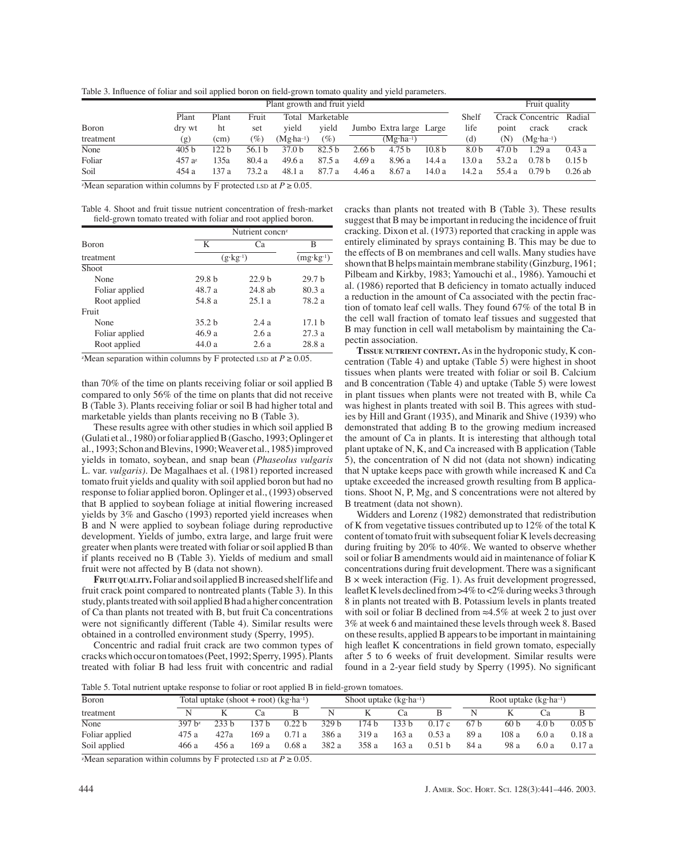Table 3. Influence of foliar and soil applied boron on field-grown tomato quality and yield parameters.

|           |                  | Plant growth and fruit yield |                 |                   |                   |        |                         |                   |                  | Fruit quality |                      |                   |
|-----------|------------------|------------------------------|-----------------|-------------------|-------------------|--------|-------------------------|-------------------|------------------|---------------|----------------------|-------------------|
|           | Plant            | Plant                        | Fruit           |                   | Total Marketable  |        |                         |                   | Shelf            |               | Crack Concentric     | Radial            |
| Boron     | dry wt           | ht                           | set             | vield             | vield             |        | Jumbo Extra large Large |                   | life             | point         | crack                | crack             |
| treatment | (g)              | (cm)                         | $\mathscr{O}_0$ | $(Mg·ha-1)$       | $(\%)$            |        | $(Mg \cdot ha^{-1})$    |                   | (d)              | (N)           | $(Mg \cdot ha^{-1})$ |                   |
| None      | 405 <sub>b</sub> | 122 b                        | 56.1 b          | 37.0 <sub>b</sub> | 82.5 <sub>b</sub> | 2.66 b | 4.75 <sub>b</sub>       | 10.8 <sub>b</sub> | 8.0 <sub>b</sub> | 47.0 b        | .29a                 | 0.43a             |
| Foliar    | $457a^2$         | 135a                         | 80.4a           | 49.6a             | 87.5 a            | 4.69a  | 8.96a                   | 14.4 a            | 3.0a             | 53.2 a        | 0.78 <sub>b</sub>    | 0.15 <sub>b</sub> |
| Soil      | 454 a            | 137 a                        | 73.2 a          | 48.1 a            | 87.7 a            | 4.46 a | 8.67 a                  | 14.0 a            | 14.2 a           | 55.4 a        | 0.79 <sub>b</sub>    | $0.26$ ab         |

zMean separation within columns by F protected LSD at  $P \ge 0.05$ .

Table 4. Shoot and fruit tissue nutrient concentration of fresh-market field-grown tomato treated with foliar and root applied boron.

|                |                   | Nutrient concn <sup>z</sup> |                   |  |  |
|----------------|-------------------|-----------------------------|-------------------|--|--|
| <b>Boron</b>   | K                 | Cа                          | в                 |  |  |
| treatment      |                   | $(g \cdot kg^{-1})$         |                   |  |  |
| <b>Shoot</b>   |                   |                             |                   |  |  |
| None           | 29.8 <sub>b</sub> | 22.9 <sub>b</sub>           | 29.7 <sub>b</sub> |  |  |
| Foliar applied | 48.7 a            | $24.8$ ab                   | 80.3a             |  |  |
| Root applied   | 54.8 a            | 25.1a                       | 78.2 a            |  |  |
| Fruit          |                   |                             |                   |  |  |
| None           | 35.2 <sub>b</sub> | 2.4a                        | 17.1 <sub>b</sub> |  |  |
| Foliar applied | 46.9a             | 2.6a                        | 27.3a             |  |  |
| Root applied   | 44.0 a            | 2.6a                        | 28.8 a            |  |  |

<sup>z</sup>Mean separation within columns by F protected LSD at  $P \ge 0.05$ .

than 70% of the time on plants receiving foliar or soil applied B compared to only 56% of the time on plants that did not receive B (Table 3). Plants receiving foliar or soil B had higher total and marketable yields than plants receiving no B (Table 3).

These results agree with other studies in which soil applied B (Gulati et al., 1980) or foliar applied B (Gascho, 1993; Oplinger et al., 1993; Schon and Blevins, 1990; Weaver et al., 1985) improved yields in tomato, soybean, and snap bean (*Phaseolus vulgaris* L. var. *vulgaris)*. De Magalhaes et al. (1981) reported increased tomato fruit yields and quality with soil applied boron but had no response to foliar applied boron. Oplinger et al., (1993) observed that B applied to soybean foliage at initial flowering increased yields by 3% and Gascho (1993) reported yield increases when B and N were applied to soybean foliage during reproductive development. Yields of jumbo, extra large, and large fruit were greater when plants were treated with foliar or soil applied B than if plants received no B (Table 3). Yields of medium and small fruit were not affected by B (data not shown).

**FRUIT QUALITY.**Foliar and soil applied B increased shelf life and fruit crack point compared to nontreated plants (Table 3). In this study, plants treated with soil applied B had a higher concentration of Ca than plants not treated with B, but fruit Ca concentrations were not significantly different (Table 4). Similar results were obtained in a controlled environment study (Sperry, 1995).

Concentric and radial fruit crack are two common types of cracks which occur on tomatoes (Peet, 1992; Sperry, 1995). Plants treated with foliar B had less fruit with concentric and radial cracks than plants not treated with B (Table 3). These results suggest that B may be important in reducing the incidence of fruit cracking. Dixon et al. (1973) reported that cracking in apple was entirely eliminated by sprays containing B. This may be due to the effects of B on membranes and cell walls. Many studies have shown that B helps maintain membrane stability (Ginzburg, 1961; Pilbeam and Kirkby, 1983; Yamouchi et al., 1986). Yamouchi et al. (1986) reported that B deficiency in tomato actually induced a reduction in the amount of Ca associated with the pectin fraction of tomato leaf cell walls. They found 67% of the total B in the cell wall fraction of tomato leaf tissues and suggested that B may function in cell wall metabolism by maintaining the Capectin association.

**TISSUE NUTRIENT CONTENT.**As in the hydroponic study, K concentration (Table 4) and uptake (Table 5) were highest in shoot tissues when plants were treated with foliar or soil B. Calcium and B concentration (Table 4) and uptake (Table 5) were lowest in plant tissues when plants were not treated with B, while Ca was highest in plants treated with soil B. This agrees with studies by Hill and Grant (1935), and Minarik and Shive (1939) who demonstrated that adding B to the growing medium increased the amount of Ca in plants. It is interesting that although total plant uptake of N, K, and Ca increased with B application (Table 5), the concentration of N did not (data not shown) indicating that N uptake keeps pace with growth while increased K and Ca uptake exceeded the increased growth resulting from B applications. Shoot N, P, Mg, and S concentrations were not altered by B treatment (data not shown).

Widders and Lorenz (1982) demonstrated that redistribution of K from vegetative tissues contributed up to 12% of the total K content of tomato fruit with subsequent foliar K levels decreasing during fruiting by 20% to 40%. We wanted to observe whether soil or foliar B amendments would aid in maintenance of foliar K concentrations during fruit development. There was a significant B × week interaction (Fig. 1). As fruit development progressed, leaflet K levels declined from >4% to <2% during weeks 3 through 8 in plants not treated with B. Potassium levels in plants treated with soil or foliar B declined from  $\approx 4.5\%$  at week 2 to just over 3% at week 6 and maintained these levels through week 8. Based on these results, applied B appears to be important in maintaining high leaflet K concentrations in field grown tomato, especially after 5 to 6 weeks of fruit development. Similar results were found in a 2-year field study by Sperry (1995). No significant

Table 5. Total nutrient uptake response to foliar or root applied B in field-grown tomatoes.

| Boron          |          | Total uptake (shoot + root) $(kg \cdot ha^{-1})$ |       |                   |                  | Shoot uptake $(kg \cdot ha^{-1})$ |      |        |      | Root uptake $(kg \cdot ha^{-1})$ |                  |                   |  |
|----------------|----------|--------------------------------------------------|-------|-------------------|------------------|-----------------------------------|------|--------|------|----------------------------------|------------------|-------------------|--|
| treatment      |          |                                                  | ∪a    |                   |                  |                                   | t `Ω |        |      |                                  | (`я              |                   |  |
| None           | $397h^2$ | $23\overline{3}h$                                | 137 h | 0.22 <sub>b</sub> | 329 <sub>b</sub> | 74 <sub>b</sub>                   | 133h | 0.17c  | 67 h | 60 <sub>b</sub>                  | 4.0 <sub>b</sub> | 0.05 <sub>b</sub> |  |
| Foliar applied | 475 a    | 42.7a                                            | 169 а | 0.71a             | 386 a            | 319 a                             | 163a | 0.53a  | 89 a | 108a                             | 6.0a             | 0.18a             |  |
| Soil applied   | 466 a    | 456 a                                            | 169 а | 0.68a             | 382 a            | 358 a                             | 163a | 0.51 h | 84 a | 98 a                             | 6.0a             | 0.17a             |  |

zMean separation within columns by F protected LSD at  $P \ge 0.05$ .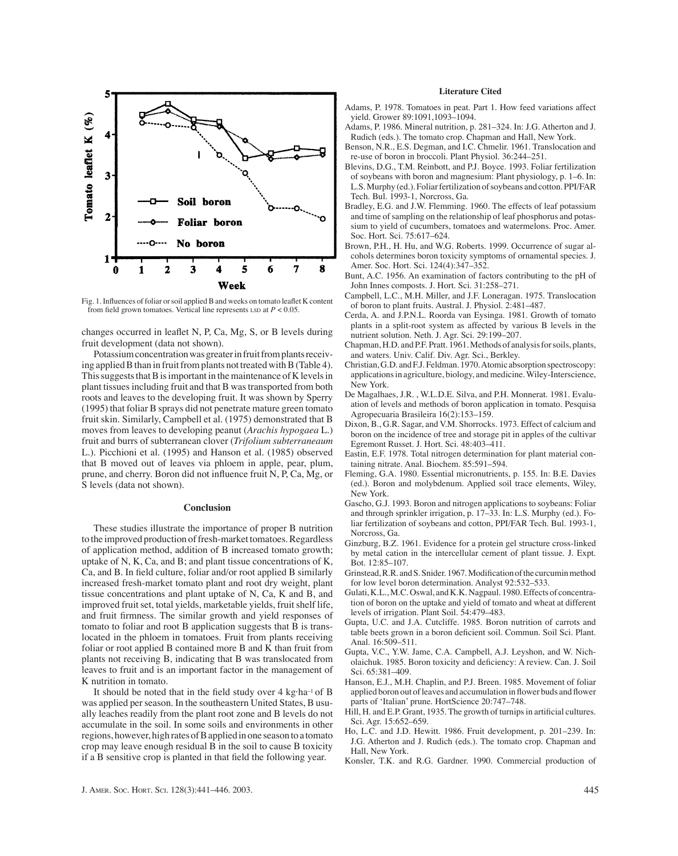

Fig. 1. Influences of foliar or soil applied B and weeks on tomato leaflet K content from field grown tomatoes. Vertical line represents  $\text{LSD}$  at  $P < 0.05$ .

changes occurred in leaflet N, P, Ca, Mg, S, or B levels during fruit development (data not shown).

Potassium concentration was greater in fruit from plants receiving applied B than in fruit from plants not treated with B (Table 4). This suggests that B is important in the maintenance of K levels in plant tissues including fruit and that B was transported from both roots and leaves to the developing fruit. It was shown by Sperry (1995) that foliar B sprays did not penetrate mature green tomato fruit skin. Similarly, Campbell et al. (1975) demonstrated that B moves from leaves to developing peanut (*Arachis hypogaea* L.) fruit and burrs of subterranean clover (*Trifolium subterraneaum* L.). Picchioni et al. (1995) and Hanson et al. (1985) observed that B moved out of leaves via phloem in apple, pear, plum, prune, and cherry. Boron did not influence fruit N, P, Ca, Mg, or S levels (data not shown).

## **Conclusion**

These studies illustrate the importance of proper B nutrition to the improved production of fresh-market tomatoes. Regardless of application method, addition of B increased tomato growth; uptake of N, K, Ca, and B; and plant tissue concentrations of K, Ca, and B. In field culture, foliar and/or root applied B similarly increased fresh-market tomato plant and root dry weight, plant tissue concentrations and plant uptake of N, Ca, K and B, and improved fruit set, total yields, marketable yields, fruit shelf life, and fruit firmness. The similar growth and yield responses of tomato to foliar and root B application suggests that B is translocated in the phloem in tomatoes. Fruit from plants receiving foliar or root applied B contained more B and K than fruit from plants not receiving B, indicating that B was translocated from leaves to fruit and is an important factor in the management of K nutrition in tomato.

It should be noted that in the field study over 4 kg·ha–1 of B was applied per season. In the southeastern United States, B usually leaches readily from the plant root zone and B levels do not accumulate in the soil. In some soils and environments in other regions, however, high rates of B applied in one season to a tomato crop may leave enough residual B in the soil to cause B toxicity if a B sensitive crop is planted in that field the following year.

## **Literature Cited**

- Adams, P. 1978. Tomatoes in peat. Part 1. How feed variations affect yield. Grower 89:1091,1093–1094.
- Adams, P. 1986. Mineral nutrition, p. 281–324. In: J.G. Atherton and J. Rudich (eds.). The tomato crop. Chapman and Hall, New York.
- Benson, N.R., E.S. Degman, and I.C. Chmelir. 1961. Translocation and re-use of boron in broccoli. Plant Physiol. 36:244–251.
- Blevins, D.G., T.M. Reinbott, and P.J. Boyce. 1993. Foliar fertilization of soybeans with boron and magnesium: Plant physiology, p. 1–6. In: L.S. Murphy (ed.). Foliar fertilization of soybeans and cotton. PPI/FAR Tech. Bul. 1993-1, Norcross, Ga.
- Bradley, E.G. and J.W. Flemming. 1960. The effects of leaf potassium and time of sampling on the relationship of leaf phosphorus and potassium to yield of cucumbers, tomatoes and watermelons. Proc. Amer. Soc. Hort. Sci. 75:617–624.
- Brown, P.H., H. Hu, and W.G. Roberts. 1999. Occurrence of sugar alcohols determines boron toxicity symptoms of ornamental species. J. Amer. Soc. Hort. Sci. 124(4):347–352.
- Bunt, A.C. 1956. An examination of factors contributing to the pH of John Innes composts. J. Hort. Sci. 31:258–271.
- Campbell, L.C., M.H. Miller, and J.F. Loneragan. 1975. Translocation of boron to plant fruits. Austral. J. Physiol. 2:481–487.
- Cerda, A. and J.P.N.L. Roorda van Eysinga. 1981. Growth of tomato plants in a split-root system as affected by various B levels in the nutrient solution. Neth. J. Agr. Sci. 29:199–207.
- Chapman, H.D. and P.F. Pratt. 1961. Methods of analysis for soils, plants, and waters. Univ. Calif. Div. Agr. Sci., Berkley.
- Christian, G.D. and F.J. Feldman. 1970. Atomic absorption spectroscopy: applications in agriculture, biology, and medicine. Wiley-Interscience, New York.
- De Magalhaes, J.R. , W.L.D.E. Silva, and P.H. Monnerat. 1981. Evaluation of levels and methods of boron application in tomato. Pesquisa Agropecuaria Brasileira 16(2):153–159.
- Dixon, B., G.R. Sagar, and V.M. Shorrocks. 1973. Effect of calcium and boron on the incidence of tree and storage pit in apples of the cultivar Egremont Russet. J. Hort. Sci. 48:403–411.
- Eastin, E.F. 1978. Total nitrogen determination for plant material containing nitrate. Anal. Biochem. 85:591–594.
- Fleming, G.A. 1980. Essential micronutrients, p. 155. In: B.E. Davies (ed.). Boron and molybdenum. Applied soil trace elements, Wiley, New York.
- Gascho, G.J. 1993. Boron and nitrogen applications to soybeans: Foliar and through sprinkler irrigation, p. 17–33. In: L.S. Murphy (ed.). Foliar fertilization of soybeans and cotton, PPI/FAR Tech. Bul. 1993-1, Norcross, Ga.
- Ginzburg, B.Z. 1961. Evidence for a protein gel structure cross-linked by metal cation in the intercellular cement of plant tissue. J. Expt. Bot. 12:85–107.
- Grinstead, R.R. and S. Snider. 1967. Modification of the curcumin method for low level boron determination. Analyst 92:532–533.
- Gulati, K.L., M.C. Oswal, and K.K. Nagpaul. 1980. Effects of concentration of boron on the uptake and yield of tomato and wheat at different levels of irrigation. Plant Soil. 54:479–483.
- Gupta, U.C. and J.A. Cutcliffe. 1985. Boron nutrition of carrots and table beets grown in a boron deficient soil. Commun. Soil Sci. Plant. Anal. 16:509–511.
- Gupta, V.C., Y.W. Jame, C.A. Campbell, A.J. Leyshon, and W. Nicholaichuk. 1985. Boron toxicity and deficiency: A review. Can. J. Soil Sci. 65:381–409.
- Hanson, E.J., M.H. Chaplin, and P.J. Breen. 1985. Movement of foliar applied boron out of leaves and accumulation in flower buds and flower parts of 'Italian' prune. HortScience 20:747–748.
- Hill, H. and E.P. Grant, 1935. The growth of turnips in artificial cultures. Sci. Agr. 15:652–659.
- Ho, L.C. and J.D. Hewitt. 1986. Fruit development, p. 201–239. In: J.G. Atherton and J. Rudich (eds.). The tomato crop. Chapman and Hall, New York.
- Konsler, T.K. and R.G. Gardner. 1990. Commercial production of